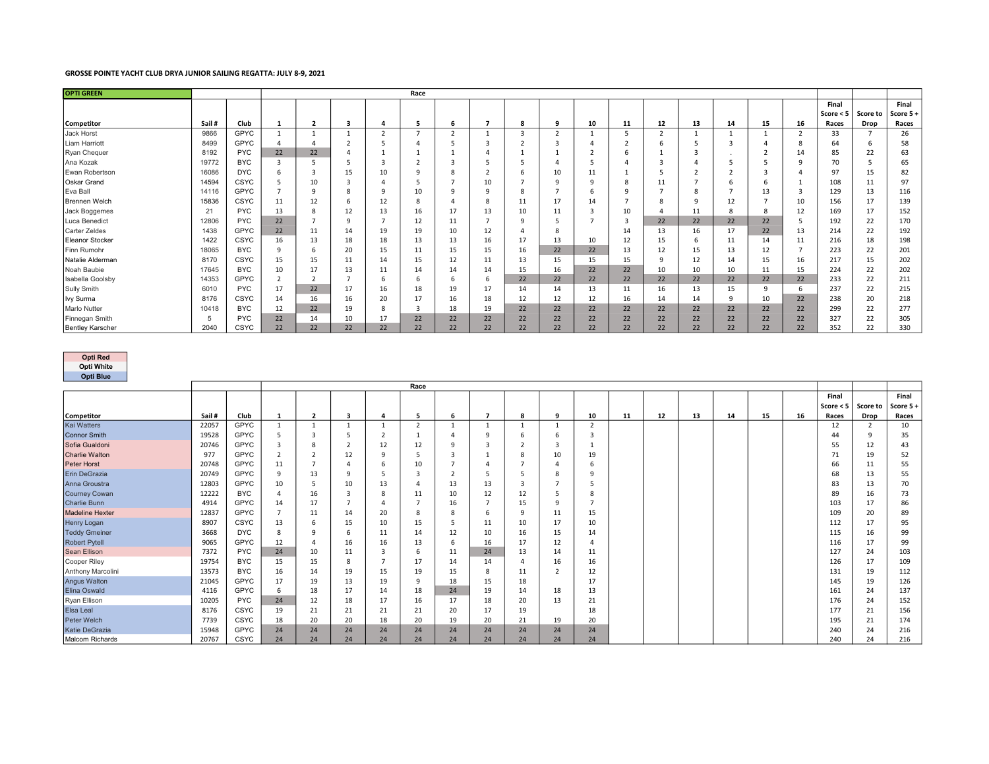## GROSSE POINTE YACHT CLUB DRYA JUNIOR SAILING REGATTA: JULY 8-9, 2021

| <b>OPTI GREEN</b>       |       |             |    |                |         |    | Race |    |    |          |                |                |          |                |    |          |              |                |             |          |          |
|-------------------------|-------|-------------|----|----------------|---------|----|------|----|----|----------|----------------|----------------|----------|----------------|----|----------|--------------|----------------|-------------|----------|----------|
|                         |       |             |    |                |         |    |      |    |    |          |                |                |          |                |    |          |              |                | Final       |          | Final    |
|                         |       |             |    |                |         |    |      |    |    |          |                |                |          |                |    |          |              |                | Score $< 5$ | Score to | Score 5+ |
| Competitor              | Sail# | Club        |    | $\overline{2}$ | 3       |    |      | 6  |    | 8        | q              | 10             | 11       | 12             | 13 | 14       | 15           | 16             | Races       | Drop     | Races    |
| Jack Horst              | 9866  | <b>GPYC</b> |    |                |         |    | -    |    |    |          | $\overline{ }$ |                |          | $\overline{2}$ |    |          |              | $\mathbf{r}$   | 33          |          | 26       |
| Liam Harriott           | 8499  | <b>GPYC</b> |    |                |         |    |      |    |    |          |                |                |          |                |    | 3        |              |                | 64          | 6        | 58       |
| Ryan Chequer            | 8192  | <b>PYC</b>  | 22 | 22             |         |    |      |    |    |          |                | $\overline{2}$ |          |                | Э  | <b>.</b> |              | 14             | 85          | 22       | 63       |
| Ana Kozak               | 19772 | <b>BYC</b>  |    |                |         |    |      |    |    |          |                | 5              |          | 3              |    |          |              | 9              | 70          | .5       | 65       |
| Ewan Robertson          | 16086 | <b>DYC</b>  |    |                | 15      | 10 |      | 8  |    |          | 10             | 11             |          |                |    |          |              |                | 97          | 15       | 82       |
| <b>Oskar Grand</b>      | 14594 | <b>CSYC</b> |    | 10             |         |    |      |    | 10 |          | $\circ$        | 9              |          | 11             |    | 6        |              |                | 108         | 11       | 97       |
| Eva Ball                | 14116 | <b>GPYC</b> |    |                |         |    | 10   | q  | q  | 8        |                | 6              | $\Omega$ | -              | 8  |          | 13           |                | 129         | 13       | 116      |
| Brennen Welch           | 15836 | <b>CSYC</b> | 11 | 12             | b       | 12 | 8    |    | 8  | 11       | 17             | 14             |          | 8              | 9  | 12       |              | 10             | 156         | 17       | 139      |
| Jack Boggemes           | 21    | <b>PYC</b>  | 13 | 8              | 12      | 13 | 16   | 17 | 13 | 10       | 11             | $\overline{3}$ | 10       | $\Delta$       | 11 | 8        | 8            | 12             | 169         | 17       | 152      |
| Luca Benedict           | 12806 | <b>PYC</b>  | 22 |                | $\circ$ |    | 12   | 11 |    | <b>q</b> |                |                |          | 22             | 22 | 22       | 22           | 5              | 192         | 22       | 170      |
| Carter Zeldes           | 1438  | <b>GPYC</b> | 22 | 11             | 14      | 19 | 19   | 10 | 12 |          | $\mathbf{R}$   |                | 14       | 13             | 16 | 17       | 22           | 13             | 214         | 22       | 192      |
| <b>Eleanor Stocker</b>  | 1422  | <b>CSYC</b> | 16 | 13             | 18      | 18 | 13   | 13 | 16 | 17       | 13             | 10             | 12       | 15             | 6  | 11       | 14           | 11             | 216         | 18       | 198      |
| Finn Rumohr             | 18065 | <b>BYC</b>  |    | 6              | 20      | 15 | 11   | 15 | 15 | 16       | 22             | 22             | 13       | 12             | 15 | 13       | 12           | $\overline{7}$ | 223         | 22       | 201      |
| Natalie Alderman        | 8170  | <b>CSYC</b> | 15 | 15             | 11      | 14 | 15   | 12 | 11 | 13       | 15             | 15             | 15       | 9              | 12 | 14       | 15           | 16             | 217         | 15       | 202      |
| Noah Baubie             | 17645 | <b>BYC</b>  | 10 | 17             | 13      | 11 | 14   | 14 | 14 | 15       | 16             | 22             | 22       | 10             | 10 | 10       | 11           | 15             | 224         | 22       | 202      |
| Isabella Goolsby        | 14353 | <b>GPYC</b> |    |                |         | b  | b    | 6  | 6  | 22       | 22             | 22             | 22       | 22             | 22 | 22       | 22           | 22             | 233         | 22       | 211      |
| <b>Sully Smith</b>      | 6010  | <b>PYC</b>  | 17 | 22             | 17      | 16 | 18   | 19 | 17 | 14       | 14             | 13             | 11       | 16             | 13 | 15       | $\mathbf{q}$ | 6              | 237         | 22       | 215      |
| Ivy Surma               | 8176  | <b>CSYC</b> | 14 | 16             | 16      | 20 | 17   | 16 | 18 | 12       | 12             | 12             | 16       | 14             | 14 | 9        | 10           | 22             | 238         | 20       | 218      |
| Marlo Nutter            | 10418 | <b>BYC</b>  | 12 | 22             | 19      | 8  | 3    | 18 | 19 | 22       | 22             | 22             | 22       | 22             | 22 | 22       | 22           | 22             | 299         | 22       | 277      |
| Finnegan Smith          |       | <b>PYC</b>  | 22 | 14             | 10      | 17 | 22   | 22 | 22 | 22       | 22             | 22             | 22       | 22             | 22 | 22       | 22           | 22             | 327         | 22       | 305      |
| <b>Bentley Karscher</b> | 2040  | CSYC        | 22 | 22             | 22      | 22 | 22   | 22 | 22 | 22       | 22             | 22             | 22       | 22             | 22 | 22       | 22           | 22             | 352         | 22       | 330      |

## Opti Red

Opti White Opti Blue

| <b>Opti</b> Blue       |       |             |              |                         |    |    |          |    |         |    |                          |                |    |    |    |    |    |    |             |                 |          |
|------------------------|-------|-------------|--------------|-------------------------|----|----|----------|----|---------|----|--------------------------|----------------|----|----|----|----|----|----|-------------|-----------------|----------|
|                        | Race  |             |              |                         |    |    |          |    |         |    |                          |                |    |    |    |    |    |    |             |                 |          |
|                        |       |             |              |                         |    |    |          |    |         |    |                          |                |    |    |    |    |    |    | Final       |                 | Final    |
|                        |       |             |              |                         |    |    |          |    |         |    |                          |                |    |    |    |    |    |    | Score $< 5$ | <b>Score to</b> | Score 5+ |
| <b>Competitor</b>      | Sail# | Club        | $\mathbf{1}$ | $\overline{\mathbf{2}}$ |    | Δ  | 5        | 6  |         |    | 9                        | 10             | 11 | 12 | 13 | 14 | 15 | 16 | Races       | Drop            | Races    |
| <b>Kai Watters</b>     | 22057 | GPYC        |              |                         |    |    |          |    |         |    |                          | $\overline{2}$ |    |    |    |    |    |    | 12          | 2               | 10       |
| <b>Connor Smith</b>    | 19528 | <b>GPYC</b> |              |                         |    |    |          |    | $\circ$ |    |                          | 3              |    |    |    |    |    |    | 44          | -9              | 35       |
| Sofia Gualdoni         | 20746 | GPYC        |              |                         |    | 12 | 12       | ۹  |         |    |                          |                |    |    |    |    |    |    | 55          | 12              | 43       |
| <b>Charlie Walton</b>  | 977   | GPYC        |              |                         | 12 | O  |          |    |         |    | 10                       | 19             |    |    |    |    |    |    | 71          | 19              | 52       |
| Peter Horst            | 20748 | GPYC        | 11           |                         |    |    | 10       |    |         |    |                          | 6              |    |    |    |    |    |    | 66          | 11              | 55       |
| Erin DeGrazia          | 20749 | GPYC        | q            | 13                      |    |    |          |    |         |    |                          | $\Omega$       |    |    |    |    |    |    | 68          | 13              | 55       |
| Anna Groustra          | 12803 | GPYC        | 10           |                         | 10 | 13 |          | 13 | 13      |    |                          |                |    |    |    |    |    |    | 83          | 13              | 70       |
| <b>Courney Cowan</b>   | 12222 | <b>BYC</b>  |              | 16                      |    |    | 11       | 10 | 12      | 12 |                          | 8              |    |    |    |    |    |    | 89          | 16              | 73       |
| <b>Charlie Bunn</b>    | 4914  | <b>GPYC</b> | 14           | 17                      |    |    |          | 16 |         | 15 |                          |                |    |    |    |    |    |    | 103         | 17              | 86       |
| <b>Madeline Hexter</b> | 12837 | GPYC        |              | 11                      | 14 | 20 | 8        | 8  |         |    | 11                       | 15             |    |    |    |    |    |    | 109         | 20              | 89       |
| Henry Logan            | 8907  | CSYC        | 13           |                         | 15 | 10 | 15       |    | 11      | 10 | 17                       | 10             |    |    |    |    |    |    | 112         | 17              | 95       |
| <b>Teddy Gmeiner</b>   | 3668  | <b>DYC</b>  |              |                         |    | 11 | 14       | 12 | 10      | 16 | 15                       | 14             |    |    |    |    |    |    | 115         | 16              | 99       |
| Robert Pytell          | 9065  | GPYC        | 12           |                         | 16 | 16 | 13       | 6  | 16      | 17 | 12                       |                |    |    |    |    |    |    | 116         | 17              | 99       |
| Sean Ellison           | 7372  | <b>PYC</b>  | 24           | 10                      | 11 |    |          | 11 | 24      | 13 | 14                       | 11             |    |    |    |    |    |    | 127         | 24              | 103      |
| Cooper Riley           | 19754 | <b>BYC</b>  | 15           | 15                      | 8  |    | 17       | 14 | 14      |    | 16                       | 16             |    |    |    |    |    |    | 126         | 17              | 109      |
| Anthony Marcolini      | 13573 | <b>BYC</b>  | 16           | 14                      | 19 | 15 | 19       | 15 | 8       | 11 | $\overline{\phantom{a}}$ | 12             |    |    |    |    |    |    | 131         | 19              | 112      |
| <b>Angus Walton</b>    | 21045 | GPYC        | 17           | 19                      | 13 | 19 | $\Omega$ | 18 | 15      | 18 |                          | 17             |    |    |    |    |    |    | 145         | 19              | 126      |
| Elina Oswald           | 4116  | GPYC        |              | 18                      | 17 | 14 | 18       | 24 | 19      | 14 | 18                       | 13             |    |    |    |    |    |    | 161         | 24              | 137      |
| Ryan Ellison           | 10205 | <b>PYC</b>  | 24           | 12                      | 18 | 17 | 16       | 17 | 18      | 20 | 13                       | 21             |    |    |    |    |    |    | 176         | 24              | 152      |
| Elsa Leal              | 8176  | CSYC        | 19           | 21                      | 21 | 21 | 21       | 20 | 17      | 19 |                          | 18             |    |    |    |    |    |    | 177         | 21              | 156      |
| Peter Welch            | 7739  | CSYC        | 18           | 20                      | 20 | 18 | 20       | 19 | 20      | 21 | 19                       | 20             |    |    |    |    |    |    | 195         | 21              | 174      |
| Katie DeGrazia         | 15948 | <b>GPYC</b> | 24           | 24                      | 24 | 24 | 24       | 24 | 24      | 24 | 24                       | 24             |    |    |    |    |    |    | 240         | 24              | 216      |
| Malcom Richards        | 20767 | <b>CSYC</b> | 24           | 24                      | 24 | 24 | 24       | 24 | 24      | 24 | 24                       | 24             |    |    |    |    |    |    | 240         | 24              | 216      |